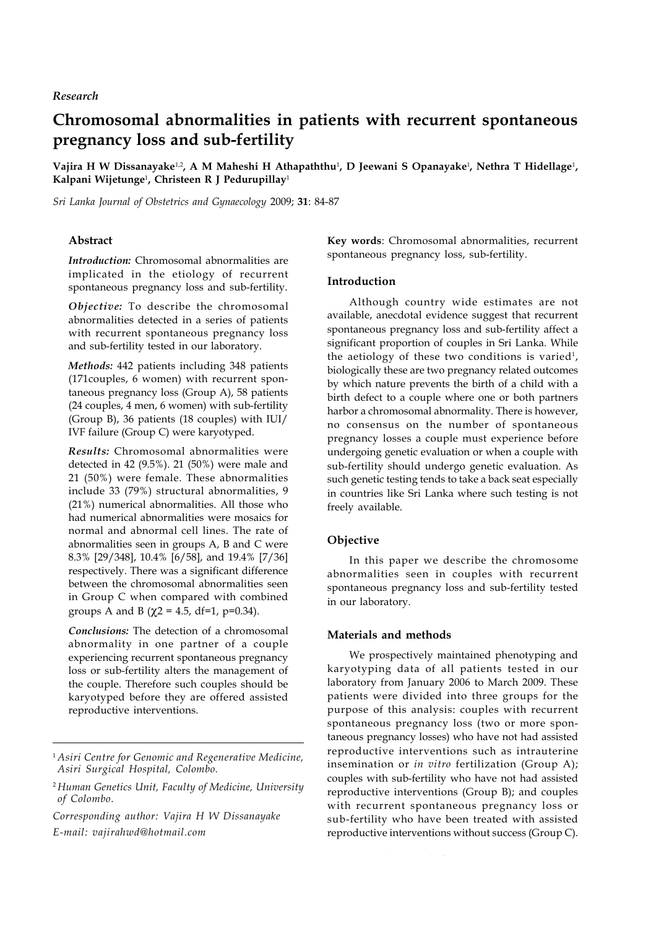## *Research*

# **Chromosomal abnormalities in patients with recurrent spontaneous pregnancy loss and sub-fertility**

 $\bf{V}$ ajira  $\bf{H}$  W Dissanayake $^{1,2}$ , A M Maheshi  $\bf{H}$  Athapaththu $^{1}$ , D Jeewani S Opanayake<sup>1</sup>, Nethra T Hidellage<sup>1</sup>, **Kalpani Wijetunge**<sup>1</sup> **, Christeen R J Pedurupillay**<sup>1</sup>

*Sri Lanka Journal of Obstetrics and Gynaecology* 2009; **31**: 84-87

## **Abstract**

*Introduction:* Chromosomal abnormalities are implicated in the etiology of recurrent spontaneous pregnancy loss and sub-fertility.

*Objective:* To describe the chromosomal abnormalities detected in a series of patients with recurrent spontaneous pregnancy loss and sub-fertility tested in our laboratory.

*Methods:* 442 patients including 348 patients (171couples, 6 women) with recurrent spontaneous pregnancy loss (Group A), 58 patients (24 couples, 4 men, 6 women) with sub-fertility (Group B), 36 patients (18 couples) with IUI/ IVF failure (Group C) were karyotyped.

*Results:* Chromosomal abnormalities were detected in 42 (9.5%). 21 (50%) were male and 21 (50%) were female. These abnormalities include 33 (79%) structural abnormalities, 9 (21%) numerical abnormalities. All those who had numerical abnormalities were mosaics for normal and abnormal cell lines. The rate of abnormalities seen in groups A, B and C were 8.3% [29/348], 10.4% [6/58], and 19.4% [7/36] respectively. There was a significant difference between the chromosomal abnormalities seen in Group C when compared with combined groups A and B ( $\chi$ 2 = 4.5, df=1, p=0.34).

*Conclusions:* The detection of a chromosomal abnormality in one partner of a couple experiencing recurrent spontaneous pregnancy loss or sub-fertility alters the management of the couple. Therefore such couples should be karyotyped before they are offered assisted reproductive interventions.

*Corresponding author: Vajira H W Dissanayake E-mail: vajirahwd@hotmail.com*

**Key words**: Chromosomal abnormalities, recurrent spontaneous pregnancy loss, sub-fertility.

### **Introduction**

Although country wide estimates are not available, anecdotal evidence suggest that recurrent spontaneous pregnancy loss and sub-fertility affect a significant proportion of couples in Sri Lanka. While the aetiology of these two conditions is varied<sup>1</sup>, biologically these are two pregnancy related outcomes by which nature prevents the birth of a child with a birth defect to a couple where one or both partners harbor a chromosomal abnormality. There is however, no consensus on the number of spontaneous pregnancy losses a couple must experience before undergoing genetic evaluation or when a couple with sub-fertility should undergo genetic evaluation. As such genetic testing tends to take a back seat especially in countries like Sri Lanka where such testing is not freely available.

## **Objective**

In this paper we describe the chromosome abnormalities seen in couples with recurrent spontaneous pregnancy loss and sub-fertility tested in our laboratory.

#### **Materials and methods**

We prospectively maintained phenotyping and karyotyping data of all patients tested in our laboratory from January 2006 to March 2009. These patients were divided into three groups for the purpose of this analysis: couples with recurrent spontaneous pregnancy loss (two or more spontaneous pregnancy losses) who have not had assisted reproductive interventions such as intrauterine insemination or *in vitro* fertilization (Group A); couples with sub-fertility who have not had assisted reproductive interventions (Group B); and couples with recurrent spontaneous pregnancy loss or sub-fertility who have been treated with assisted reproductive interventions without success (Group C).

<sup>1</sup> *Asiri Centre for Genomic and Regenerative Medicine, Asiri Surgical Hospital, Colombo.*

<sup>2</sup> *Human Genetics Unit, Faculty of Medicine, University of Colombo.*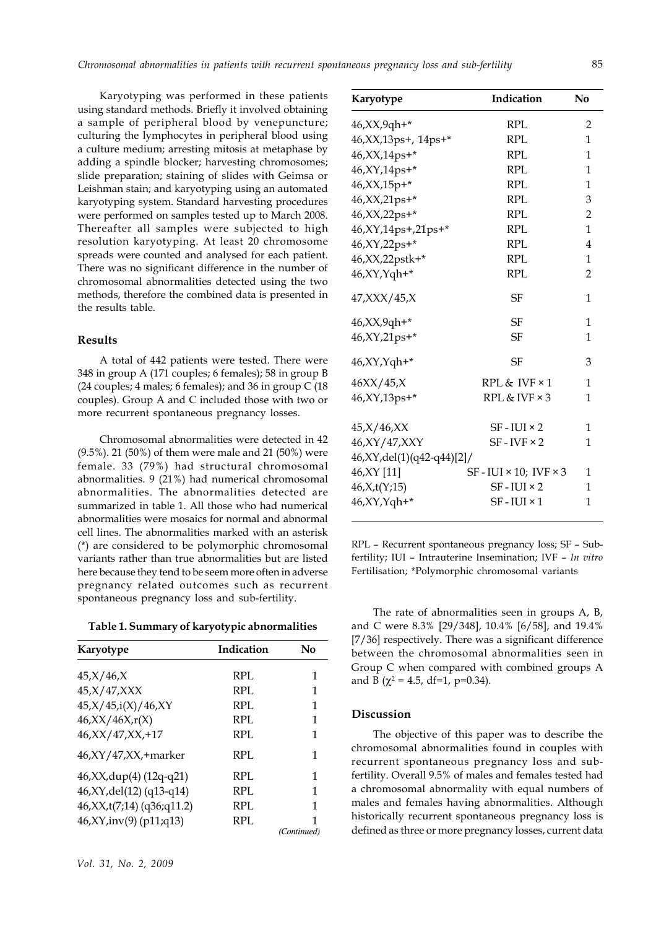Karyotyping was performed in these patients using standard methods. Briefly it involved obtaining a sample of peripheral blood by venepuncture; culturing the lymphocytes in peripheral blood using a culture medium; arresting mitosis at metaphase by adding a spindle blocker; harvesting chromosomes; slide preparation; staining of slides with Geimsa or Leishman stain; and karyotyping using an automated karyotyping system. Standard harvesting procedures were performed on samples tested up to March 2008. Thereafter all samples were subjected to high resolution karyotyping. At least 20 chromosome spreads were counted and analysed for each patient. There was no significant difference in the number of chromosomal abnormalities detected using the two methods, therefore the combined data is presented in the results table.

### **Results**

A total of 442 patients were tested. There were 348 in group A (171 couples; 6 females); 58 in group B (24 couples; 4 males; 6 females); and 36 in group C (18 couples). Group A and C included those with two or more recurrent spontaneous pregnancy losses.

Chromosomal abnormalities were detected in 42 (9.5%). 21 (50%) of them were male and 21 (50%) were female. 33 (79%) had structural chromosomal abnormalities. 9 (21%) had numerical chromosomal abnormalities. The abnormalities detected are summarized in table 1. All those who had numerical abnormalities were mosaics for normal and abnormal cell lines. The abnormalities marked with an asterisk (\*) are considered to be polymorphic chromosomal variants rather than true abnormalities but are listed here because they tend to be seem more often in adverse pregnancy related outcomes such as recurrent spontaneous pregnancy loss and sub-fertility.

**Table 1. Summary of karyotypic abnormalities**

| Karyotype                      | Indication | No          |
|--------------------------------|------------|-------------|
| 45, X/46, X                    | RPL        | 1           |
| 45, X/47, XXX                  | RPL        | 1           |
| 45,X/45,i(X)/46,XY             | RPL        | 1           |
| 46, XX/46X, r(X)               | RPL        | 1           |
| 46, XX/47, XX, +17             | RPL        | 1           |
| $46, XY/47, XX, + marker$      | RPL.       | 1           |
| 46, XX, dup(4) (12q-q21)       | RPL        | 1           |
| 46, XY, del(12) (q13-q14)      | RPL.       | 1           |
| 46, XX, t(7; 14) (q36; q 11.2) | RPL        | 1           |
| 46, XY, inv(9) (p11; q13)      | RPL        | 1           |
|                                |            | (Continued) |

| Karyotype                      | Indication                             | No             |
|--------------------------------|----------------------------------------|----------------|
| 46, XX, 9qh +*                 | RPL                                    | 2              |
| 46, XX, 13ps+, 14ps+*          | RPL                                    | 1              |
| 46, XX, 14ps+*                 | RPL                                    | 1              |
| 46, XY, 14ps+*                 | <b>RPL</b>                             | $\mathbf{1}$   |
| 46, XX, 15p+*                  | <b>RPL</b>                             | 1              |
| 46, XX, 21ps+*                 | <b>RPL</b>                             | 3              |
| 46, XX, 22ps+*                 | RPL                                    | 2              |
| 46, XY, 14ps +, 21ps +*        | RPL                                    | 1              |
| 46, XY, 22ps+*                 | <b>RPL</b>                             | $\overline{4}$ |
| 46, XX, 22pstk+*               | <b>RPL</b>                             | 1              |
| 46, XY, Yqh+*                  | <b>RPL</b>                             | 2              |
| $47,$ XXX $/45,$ X             | SF                                     | 1              |
| 46, XX, 9qh +*                 | <b>SF</b>                              | 1              |
| 46, XY, 21ps+*                 | SF                                     | 1              |
| 46, XY, Yqh +*                 | SF                                     | 3              |
| $46XX/45$ ,X                   | RPL & IVF × 1                          | 1              |
| 46, XY, 13ps+*                 | $RPL & IVF \times 3$                   | 1              |
| 45, X/46, XX                   | $SF$ - IUI $\times$ 2                  | 1              |
| 46, XY / 47, XXY               | $SF$ - IVF $\times$ 2                  | 1              |
| 46, XY, del(1) (q42-q44) [2] / |                                        |                |
| 46, XY [11]                    | $SF$ - IUI $\times$ 10; IVF $\times$ 3 | 1              |
| 46, X, t(Y; 15)                | $SF$ - $IUI \times 2$                  | 1              |
| 46, XY, Yqh +*                 | $SF$ - $IUI \times 1$                  | 1              |

RPL – Recurrent spontaneous pregnancy loss; SF – Subfertility; IUI – Intrauterine Insemination; IVF – *In vitro* Fertilisation; \*Polymorphic chromosomal variants

The rate of abnormalities seen in groups A, B, and C were 8.3% [29/348], 10.4% [6/58], and 19.4% [7/36] respectively. There was a significant difference between the chromosomal abnormalities seen in Group C when compared with combined groups A and B ( $\chi^2$  = 4.5, df=1, p=0.34).

## **Discussion**

The objective of this paper was to describe the chromosomal abnormalities found in couples with recurrent spontaneous pregnancy loss and subfertility. Overall 9.5% of males and females tested had a chromosomal abnormality with equal numbers of males and females having abnormalities. Although historically recurrent spontaneous pregnancy loss is defined as three or more pregnancy losses, current data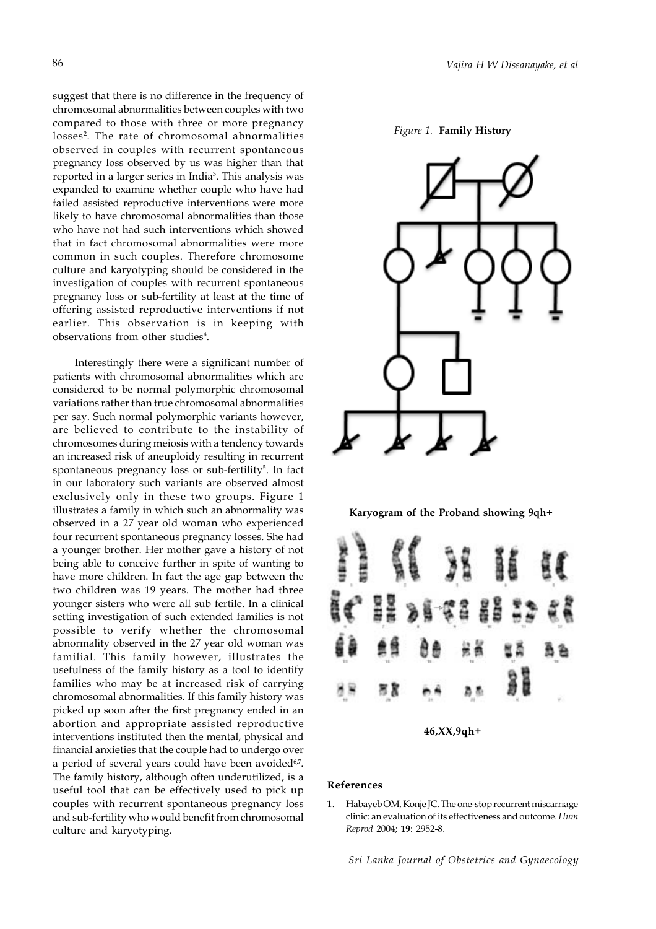suggest that there is no difference in the frequency of chromosomal abnormalities between couples with two compared to those with three or more pregnancy losses<sup>2</sup>. The rate of chromosomal abnormalities observed in couples with recurrent spontaneous pregnancy loss observed by us was higher than that reported in a larger series in India<sup>3</sup>. This analysis was expanded to examine whether couple who have had failed assisted reproductive interventions were more likely to have chromosomal abnormalities than those who have not had such interventions which showed that in fact chromosomal abnormalities were more common in such couples. Therefore chromosome culture and karyotyping should be considered in the investigation of couples with recurrent spontaneous pregnancy loss or sub-fertility at least at the time of offering assisted reproductive interventions if not earlier. This observation is in keeping with observations from other studies<sup>4</sup>.

Interestingly there were a significant number of patients with chromosomal abnormalities which are considered to be normal polymorphic chromosomal variations rather than true chromosomal abnormalities per say. Such normal polymorphic variants however, are believed to contribute to the instability of chromosomes during meiosis with a tendency towards an increased risk of aneuploidy resulting in recurrent spontaneous pregnancy loss or sub-fertility<sup>5</sup>. In fact in our laboratory such variants are observed almost exclusively only in these two groups. Figure 1 illustrates a family in which such an abnormality was observed in a 27 year old woman who experienced four recurrent spontaneous pregnancy losses. She had a younger brother. Her mother gave a history of not being able to conceive further in spite of wanting to have more children. In fact the age gap between the two children was 19 years. The mother had three younger sisters who were all sub fertile. In a clinical setting investigation of such extended families is not possible to verify whether the chromosomal abnormality observed in the 27 year old woman was familial. This family however, illustrates the usefulness of the family history as a tool to identify families who may be at increased risk of carrying chromosomal abnormalities. If this family history was picked up soon after the first pregnancy ended in an abortion and appropriate assisted reproductive interventions instituted then the mental, physical and financial anxieties that the couple had to undergo over a period of several years could have been avoided<sup>6,7</sup>. The family history, although often underutilized, is a useful tool that can be effectively used to pick up couples with recurrent spontaneous pregnancy loss and sub-fertility who would benefit from chromosomal culture and karyotyping.









#### **References**

1. Habayeb OM, Konje JC. The one-stop recurrent miscarriage clinic: an evaluation of its effectiveness and outcome. *Hum Reprod* 2004; **19**: 2952-8.

*Sri Lanka Journal of Obstetrics and Gynaecology*